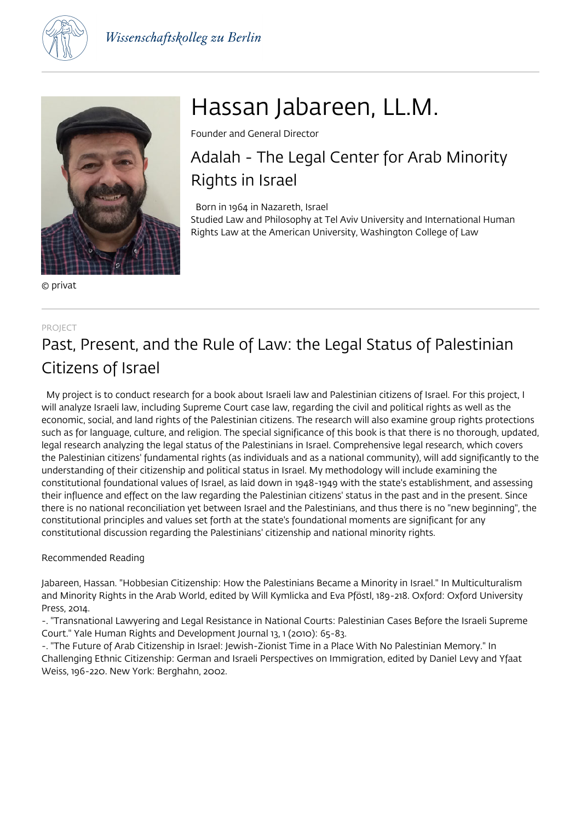



© privat

# Hassan Jabareen, LL.M.

Founder and General Director

## Adalah - The Legal Center for Arab Minority Rights in Israel

 Born in 1964 in Nazareth, Israel Studied Law and Philosophy at Tel Aviv University and International Human Rights Law at the American University, Washington College of Law

#### PROJECT

### Past, Present, and the Rule of Law: the Legal Status of Palestinian Citizens of Israel

 My project is to conduct research for a book about Israeli law and Palestinian citizens of Israel. For this project, I will analyze Israeli law, including Supreme Court case law, regarding the civil and political rights as well as the economic, social, and land rights of the Palestinian citizens. The research will also examine group rights protections such as for language, culture, and religion. The special significance of this book is that there is no thorough, updated, legal research analyzing the legal status of the Palestinians in Israel. Comprehensive legal research, which covers the Palestinian citizens' fundamental rights (as individuals and as a national community), will add significantly to the understanding of their citizenship and political status in Israel. My methodology will include examining the constitutional foundational values of Israel, as laid down in 1948-1949 with the state's establishment, and assessing their influence and effect on the law regarding the Palestinian citizens' status in the past and in the present. Since there is no national reconciliation yet between Israel and the Palestinians, and thus there is no "new beginning", the constitutional principles and values set forth at the state's foundational moments are significant for any constitutional discussion regarding the Palestinians' citizenship and national minority rights.

#### Recommended Reading

Jabareen, Hassan. "Hobbesian Citizenship: How the Palestinians Became a Minority in Israel." In Multiculturalism and Minority Rights in the Arab World, edited by Will Kymlicka and Eva Pföstl, 189-218. Oxford: Oxford University Press, 2014.

-. "Transnational Lawyering and Legal Resistance in National Courts: Palestinian Cases Before the Israeli Supreme Court." Yale Human Rights and Development Journal 13, 1 (2010): 65-83.

-. "The Future of Arab Citizenship in Israel: Jewish-Zionist Time in a Place With No Palestinian Memory." In Challenging Ethnic Citizenship: German and Israeli Perspectives on Immigration, edited by Daniel Levy and Yfaat Weiss, 196-220. New York: Berghahn, 2002.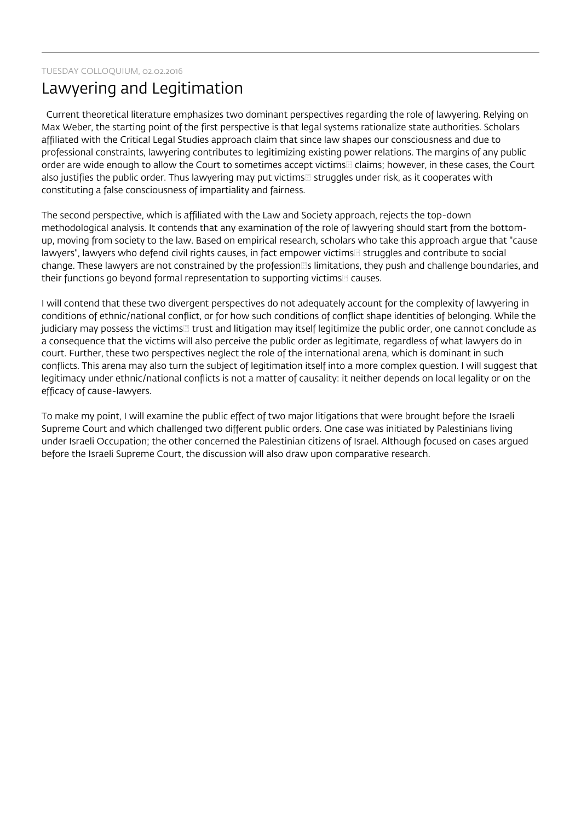### Lawyering and Legitimation

 Current theoretical literature emphasizes two dominant perspectives regarding the role of lawyering. Relying on Max Weber, the starting point of the first perspective is that legal systems rationalize state authorities. Scholars affiliated with the Critical Legal Studies approach claim that since law shapes our consciousness and due to professional constraints, lawyering contributes to legitimizing existing power relations. The margins of any public order are wide enough to allow the Court to sometimes accept victims claims; however, in these cases, the Court also justifies the public order. Thus lawyering may put victims struggles under risk, as it cooperates with constituting a false consciousness of impartiality and fairness.

The second perspective, which is affiliated with the Law and Society approach, rejects the top-down methodological analysis. It contends that any examination of the role of lawyering should start from the bottomup, moving from society to the law. Based on empirical research, scholars who take this approach argue that "cause lawyers", lawyers who defend civil rights causes, in fact empower victims rustruggles and contribute to social change. These lawyers are not constrained by the profession s limitations, they push and challenge boundaries, and their functions go beyond formal representation to supporting victims causes.

I will contend that these two divergent perspectives do not adequately account for the complexity of lawyering in conditions of ethnic/national conflict, or for how such conditions of conflict shape identities of belonging. While the judiciary may possess the victims  $\Box$  trust and litigation may itself legitimize the public order, one cannot conclude as a consequence that the victims will also perceive the public order as legitimate, regardless of what lawyers do in court. Further, these two perspectives neglect the role of the international arena, which is dominant in such conflicts. This arena may also turn the subject of legitimation itself into a more complex question. I will suggest that legitimacy under ethnic/national conflicts is not a matter of causality: it neither depends on local legality or on the efficacy of cause-lawyers.

To make my point, I will examine the public effect of two major litigations that were brought before the Israeli Supreme Court and which challenged two different public orders. One case was initiated by Palestinians living under Israeli Occupation; the other concerned the Palestinian citizens of Israel. Although focused on cases argued before the Israeli Supreme Court, the discussion will also draw upon comparative research.